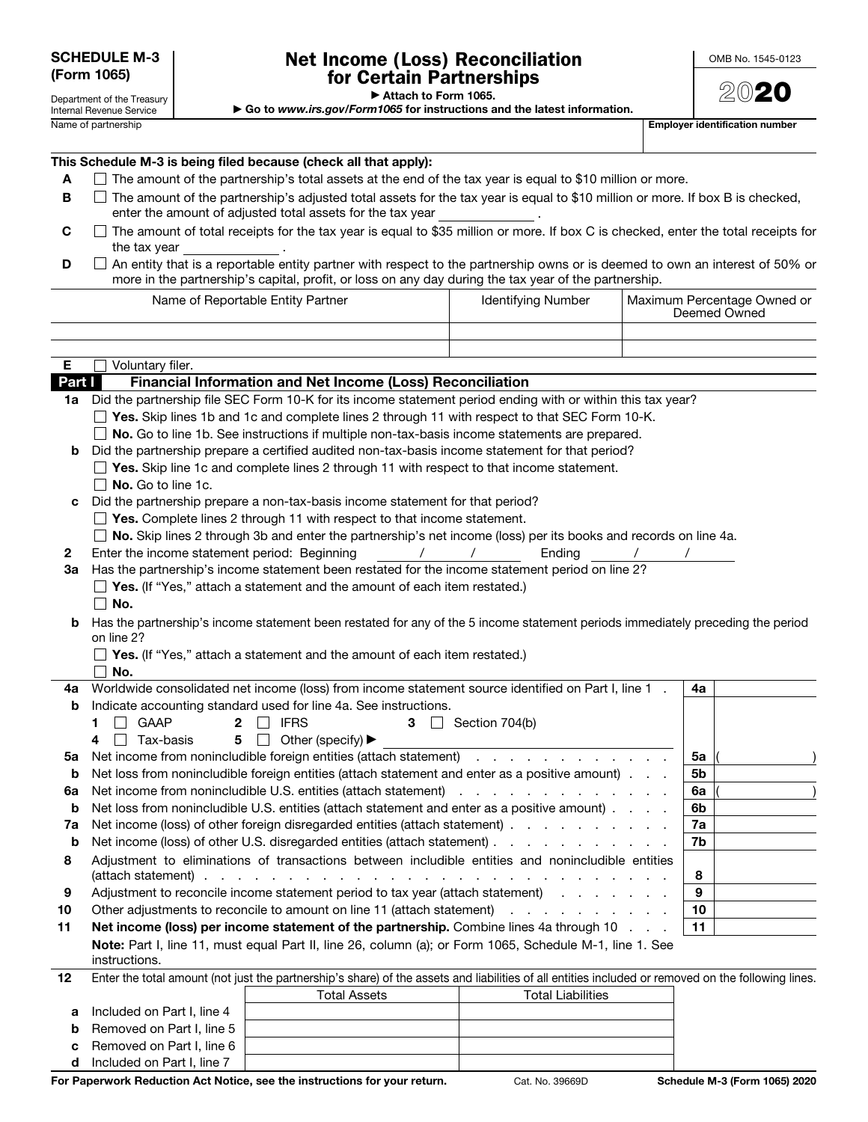Department of the Treasury Internal Revenue Service

## Net Income (Loss) Reconciliation for Certain Partnerships

2020

▶ Attach to Form 1065.

▶ Go to *www.irs.gov/Form1065* for instructions and the latest information.

Name of partnership extension of the control of the control of the control of the control of the control of the control of the control of the control of the control of the control of the control of the control of the contr

| This Schedule M-3 is being filed because (check all that apply): |  |
|------------------------------------------------------------------|--|
|------------------------------------------------------------------|--|

- A  $\Box$  The amount of the partnership's total assets at the end of the tax year is equal to \$10 million or more.
- $\blacksquare$  The amount of the partnership's adjusted total assets for the tax year is equal to \$10 million or more. If box B is checked, enter the amount of adjusted total assets for the tax year .
- $C \Box$  The amount of total receipts for the tax year is equal to \$35 million or more. If box C is checked, enter the total receipts for the tax year
- D □ An entity that is a reportable entity partner with respect to the partnership owns or is deemed to own an interest of 50% or more in the partnership's capital, profit, or loss on any day during the tax year of the partnership.

|        | <b>Identifying Number</b><br>Name of Reportable Entity Partner                                                                                                                                                                                        |                          |    | Maximum Percentage Owned or<br>Deemed Owned |  |
|--------|-------------------------------------------------------------------------------------------------------------------------------------------------------------------------------------------------------------------------------------------------------|--------------------------|----|---------------------------------------------|--|
|        |                                                                                                                                                                                                                                                       |                          |    |                                             |  |
|        |                                                                                                                                                                                                                                                       |                          |    |                                             |  |
| Е      | Voluntary filer.                                                                                                                                                                                                                                      |                          |    |                                             |  |
| Part I | Financial Information and Net Income (Loss) Reconciliation                                                                                                                                                                                            |                          |    |                                             |  |
| 1a l   | Did the partnership file SEC Form 10-K for its income statement period ending with or within this tax year?                                                                                                                                           |                          |    |                                             |  |
|        | $\Box$ Yes. Skip lines 1b and 1c and complete lines 2 through 11 with respect to that SEC Form 10-K.                                                                                                                                                  |                          |    |                                             |  |
|        | No. Go to line 1b. See instructions if multiple non-tax-basis income statements are prepared.                                                                                                                                                         |                          |    |                                             |  |
| b      | Did the partnership prepare a certified audited non-tax-basis income statement for that period?                                                                                                                                                       |                          |    |                                             |  |
|        | $\Box$ Yes. Skip line 1c and complete lines 2 through 11 with respect to that income statement.                                                                                                                                                       |                          |    |                                             |  |
|        | $\Box$ No. Go to line 1c.                                                                                                                                                                                                                             |                          |    |                                             |  |
| c      | Did the partnership prepare a non-tax-basis income statement for that period?                                                                                                                                                                         |                          |    |                                             |  |
|        | $\Box$ Yes. Complete lines 2 through 11 with respect to that income statement.                                                                                                                                                                        |                          |    |                                             |  |
|        | □ No. Skip lines 2 through 3b and enter the partnership's net income (loss) per its books and records on line 4a.                                                                                                                                     |                          |    |                                             |  |
| 2      | Enter the income statement period: Beginning<br>$\prime$                                                                                                                                                                                              | Ending                   |    |                                             |  |
| За     | Has the partnership's income statement been restated for the income statement period on line 2?                                                                                                                                                       |                          |    |                                             |  |
|        | $\Box$ Yes. (If "Yes," attach a statement and the amount of each item restated.)                                                                                                                                                                      |                          |    |                                             |  |
|        | No.                                                                                                                                                                                                                                                   |                          |    |                                             |  |
| b      | Has the partnership's income statement been restated for any of the 5 income statement periods immediately preceding the period                                                                                                                       |                          |    |                                             |  |
|        | on line 2?<br>$\Box$ Yes. (If "Yes," attach a statement and the amount of each item restated.)                                                                                                                                                        |                          |    |                                             |  |
|        | $\perp$<br>No.                                                                                                                                                                                                                                        |                          |    |                                             |  |
| 4a     | Worldwide consolidated net income (loss) from income statement source identified on Part I, line 1.                                                                                                                                                   |                          | 4a |                                             |  |
| b      | Indicate accounting standard used for line 4a. See instructions.                                                                                                                                                                                      |                          |    |                                             |  |
|        | <b>IFRS</b><br>    GAAP<br>1.<br>$\mathbf{2}$<br>$\perp$<br>3                                                                                                                                                                                         | Section 704(b)           |    |                                             |  |
|        | 5 $\Box$ Other (specify) $\blacktriangleright$<br>  Tax-basis<br>4                                                                                                                                                                                    |                          |    |                                             |  |
| 5a     | Net income from nonincludible foreign entities (attach statement)                                                                                                                                                                                     |                          | 5a |                                             |  |
| b      | Net loss from nonincludible foreign entities (attach statement and enter as a positive amount).                                                                                                                                                       |                          | 5b |                                             |  |
| 6a     | Net income from nonincludible U.S. entities (attach statement) which we have a set of the statement of the statement of the statement of the statement of the statement of the statement of the statement of the statement of                         | 6a                       |    |                                             |  |
| b      | Net loss from nonincludible U.S. entities (attach statement and enter as a positive amount).                                                                                                                                                          |                          | 6b |                                             |  |
| 7a     | Net income (loss) of other foreign disregarded entities (attach statement)                                                                                                                                                                            | 7a                       |    |                                             |  |
| b      | Net income (loss) of other U.S. disregarded entities (attach statement)                                                                                                                                                                               |                          | 7b |                                             |  |
| 8      | Adjustment to eliminations of transactions between includible entities and nonincludible entities                                                                                                                                                     |                          |    |                                             |  |
|        | (attach statement).<br>the contract of the contract of the contract of the contract of the contract of the contract of the contract of the contract of the contract of the contract of the contract of the contract of the contract of the contract o |                          | 8  |                                             |  |
| 9      | Adjustment to reconcile income statement period to tax year (attach statement)<br>9                                                                                                                                                                   |                          |    |                                             |  |
| 10     | Other adjustments to reconcile to amount on line 11 (attach statement)<br>10<br>المناطق والمناطق والمناطق والمناطق                                                                                                                                    |                          |    |                                             |  |
| 11     | 11<br>Net income (loss) per income statement of the partnership. Combine lines 4a through 10                                                                                                                                                          |                          |    |                                             |  |
|        | Note: Part I, line 11, must equal Part II, line 26, column (a); or Form 1065, Schedule M-1, line 1. See                                                                                                                                               |                          |    |                                             |  |
|        | instructions.                                                                                                                                                                                                                                         |                          |    |                                             |  |
| 12     | Enter the total amount (not just the partnership's share) of the assets and liabilities of all entities included or removed on the following lines.                                                                                                   |                          |    |                                             |  |
|        | Total Assets                                                                                                                                                                                                                                          | <b>Total Liabilities</b> |    |                                             |  |

| <b>For Paperwork Reduction Act Notice, see the instructions for your return.</b> |                            | $Cat$ No. |  |
|----------------------------------------------------------------------------------|----------------------------|-----------|--|
|                                                                                  | Included on Part I, line 7 |           |  |

a Included on Part I, line 4 **b** Removed on Part I, line 5 c Removed on Part I, line 6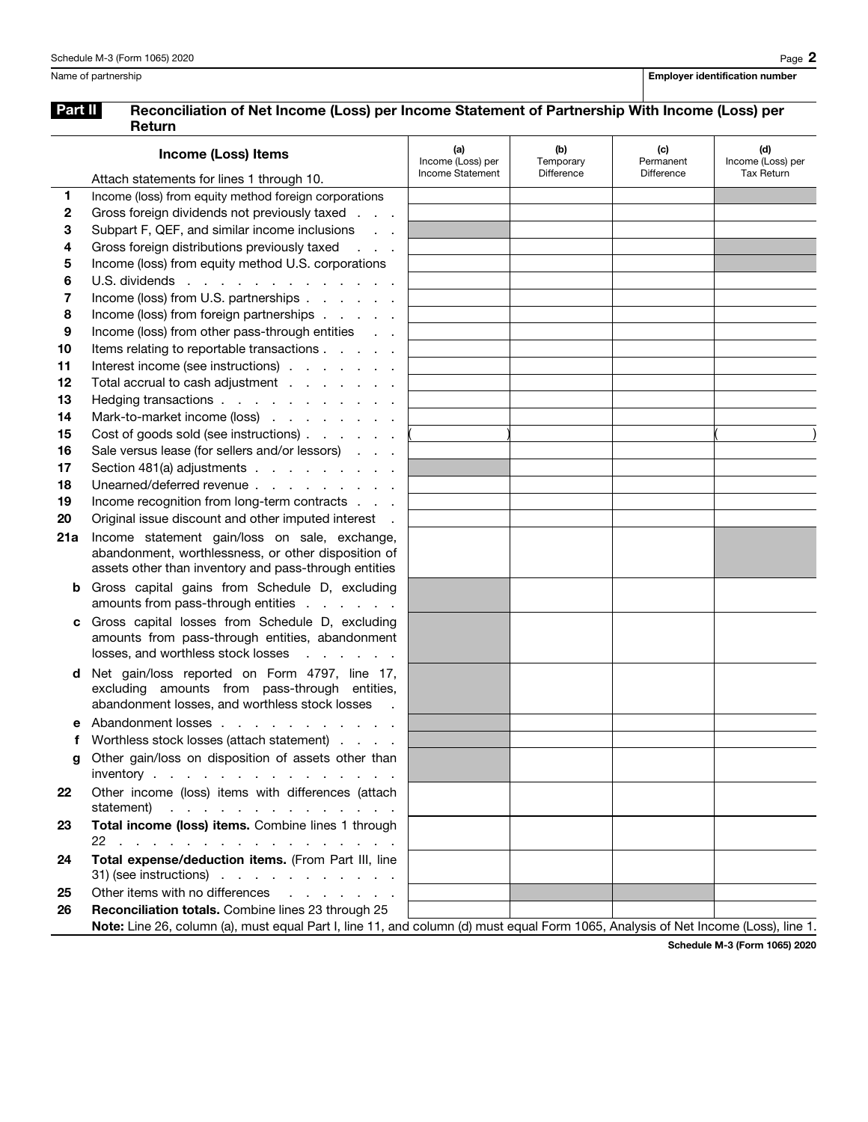## Part II Reconciliation of Net Income (Loss) per Income Statement of Partnership With Income (Loss) per Return

|          | <b>Income (Loss) Items</b>                                                                                                                                                    | (a)<br>Income (Loss) per | (b)<br>Temporary | (c)<br>Permanent | (d)<br>Income (Loss) per |
|----------|-------------------------------------------------------------------------------------------------------------------------------------------------------------------------------|--------------------------|------------------|------------------|--------------------------|
|          | Attach statements for lines 1 through 10.                                                                                                                                     | Income Statement         | Difference       | Difference       | <b>Tax Return</b>        |
| 1        | Income (loss) from equity method foreign corporations                                                                                                                         |                          |                  |                  |                          |
| 2        | Gross foreign dividends not previously taxed                                                                                                                                  |                          |                  |                  |                          |
| 3        | Subpart F, QEF, and similar income inclusions                                                                                                                                 |                          |                  |                  |                          |
| 4        | Gross foreign distributions previously taxed<br>$\mathcal{L}^{\text{max}}$ and $\mathcal{L}^{\text{max}}$                                                                     |                          |                  |                  |                          |
| 5        | Income (loss) from equity method U.S. corporations                                                                                                                            |                          |                  |                  |                          |
| 6        | U.S. dividends                                                                                                                                                                |                          |                  |                  |                          |
| 7        | Income (loss) from U.S. partnerships                                                                                                                                          |                          |                  |                  |                          |
| 8        | Income (loss) from foreign partnerships                                                                                                                                       |                          |                  |                  |                          |
| 9        | Income (loss) from other pass-through entities                                                                                                                                |                          |                  |                  |                          |
| 10       | Items relating to reportable transactions                                                                                                                                     |                          |                  |                  |                          |
| 11       | Interest income (see instructions)                                                                                                                                            |                          |                  |                  |                          |
| 12       | Total accrual to cash adjustment                                                                                                                                              |                          |                  |                  |                          |
| 13       | Hedging transactions                                                                                                                                                          |                          |                  |                  |                          |
| 14       | Mark-to-market income (loss)                                                                                                                                                  |                          |                  |                  |                          |
| 15       | Cost of goods sold (see instructions)                                                                                                                                         |                          |                  |                  |                          |
| 16<br>17 | Sale versus lease (for sellers and/or lessors)<br>Section 481(a) adjustments                                                                                                  |                          |                  |                  |                          |
| 18       | Unearned/deferred revenue                                                                                                                                                     |                          |                  |                  |                          |
| 19       | Income recognition from long-term contracts                                                                                                                                   |                          |                  |                  |                          |
| 20       | Original issue discount and other imputed interest .                                                                                                                          |                          |                  |                  |                          |
| 21a      | Income statement gain/loss on sale, exchange,                                                                                                                                 |                          |                  |                  |                          |
|          | abandonment, worthlessness, or other disposition of<br>assets other than inventory and pass-through entities                                                                  |                          |                  |                  |                          |
| b        | Gross capital gains from Schedule D, excluding<br>amounts from pass-through entities                                                                                          |                          |                  |                  |                          |
| c        | Gross capital losses from Schedule D, excluding<br>amounts from pass-through entities, abandonment<br>losses, and worthless stock losses<br>and the company of the company of |                          |                  |                  |                          |
| d        | Net gain/loss reported on Form 4797, line 17,<br>excluding amounts from pass-through entities,<br>abandonment losses, and worthless stock losses                              |                          |                  |                  |                          |
|          | Abandonment losses                                                                                                                                                            |                          |                  |                  |                          |
|          | Worthless stock losses (attach statement)                                                                                                                                     |                          |                  |                  |                          |
| g        | Other gain/loss on disposition of assets other than                                                                                                                           |                          |                  |                  |                          |
|          | inventory $\cdots$ $\cdots$ $\cdots$ $\cdots$ $\cdots$ $\cdots$                                                                                                               |                          |                  |                  |                          |
| 22       | Other income (loss) items with differences (attach<br>statement)                                                                                                              |                          |                  |                  |                          |
| 23       | Total income (loss) items. Combine lines 1 through                                                                                                                            |                          |                  |                  |                          |
|          | 22                                                                                                                                                                            |                          |                  |                  |                          |
| 24       | Total expense/deduction items. (From Part III, line                                                                                                                           |                          |                  |                  |                          |
|          | $31)$ (see instructions) $\ldots$ $\ldots$ $\ldots$ $\ldots$                                                                                                                  |                          |                  |                  |                          |
| 25       | Other items with no differences                                                                                                                                               |                          |                  |                  |                          |
| 26       | Reconciliation totals. Combine lines 23 through 25                                                                                                                            |                          |                  |                  |                          |
|          | Note: Line 26, column (a), must equal Part I, line 11, and column (d) must equal Form 1065, Analysis of Net Income (Loss), line 1.                                            |                          |                  |                  |                          |

Schedule M-3 (Form 1065) 2020